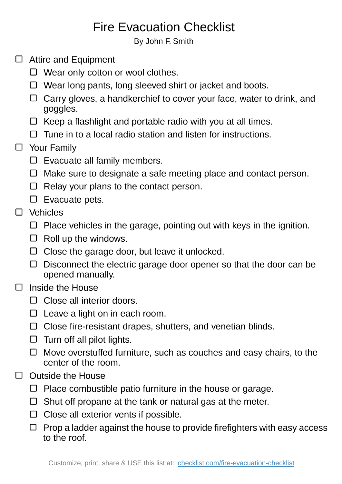## Fire Evacuation Checklist

By John F. Smith

- □ Attire and Equipment
	- □ Wear only cotton or wool clothes.
	- $\Box$  Wear long pants, long sleeved shirt or jacket and boots.
	- $\Box$  Carry gloves, a handkerchief to cover your face, water to drink, and goggles.
	- $\Box$  Keep a flashlight and portable radio with you at all times.
	- $\Box$  Tune in to a local radio station and listen for instructions.

## □ Your Family

- $\square$  Evacuate all family members.
- $\Box$  Make sure to designate a safe meeting place and contact person.
- $\Box$  Relay your plans to the contact person.
- $\square$  Evacuate pets.
- □ Vehicles
	- $\Box$  Place vehicles in the garage, pointing out with keys in the ignition.
	- $\Box$  Roll up the windows.
	- $\Box$  Close the garage door, but leave it unlocked.
	- $\Box$  Disconnect the electric garage door opener so that the door can be opened manually.

## Inside the House  $\Box$

- □ Close all interior doors.
- $\square$  Leave a light on in each room.
- $\Box$  Close fire-resistant drapes, shutters, and venetian blinds.
- $\Box$  Turn off all pilot lights.
- $\Box$  Move overstuffed furniture, such as couches and easy chairs, to the center of the room.
- $\Box$  Outside the House
	- $\Box$  Place combustible patio furniture in the house or garage.
	- $\Box$  Shut off propane at the tank or natural gas at the meter.
	- $\Box$  Close all exterior vents if possible.
	- $\Box$  Prop a ladder against the house to provide firefighters with easy access to the roof.